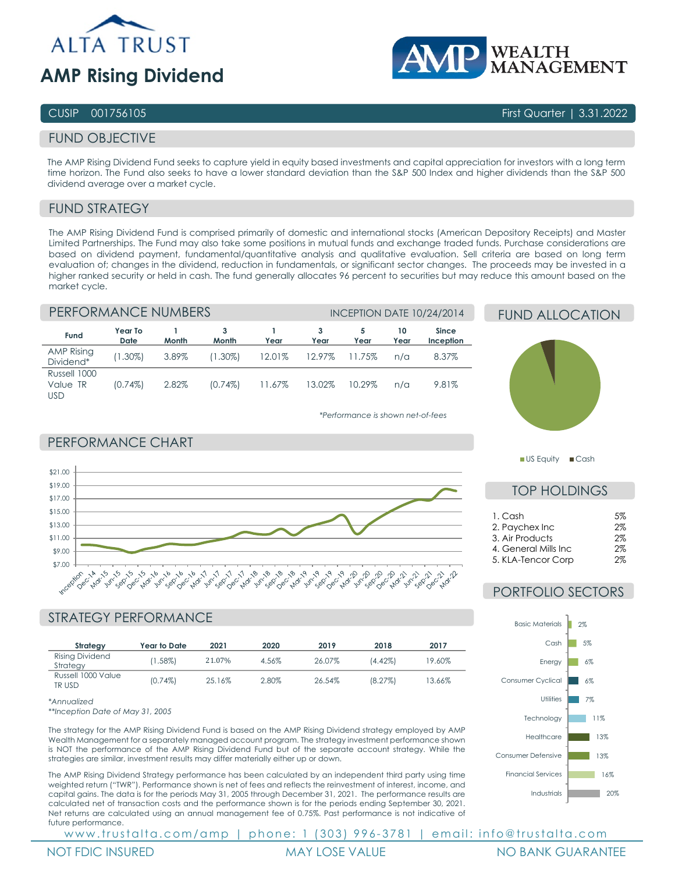



## CUSIP 001756105 First Quarter | 3.31.2022

# FUND OBJECTIVE

The AMP Rising Dividend Fund seeks to capture yield in equity based investments and capital appreciation for investors with a long term time horizon. The Fund also seeks to have a lower standard deviation than the S&P 500 Index and higher dividends than the S&P 500 dividend average over a market cycle.

# FUND STRATEGY

The AMP Rising Dividend Fund is comprised primarily of domestic and international stocks (American Depository Receipts) and Master Limited Partnerships. The Fund may also take some positions in mutual funds and exchange traded funds. Purchase considerations are based on dividend payment, fundamental/quantitative analysis and qualitative evaluation. Sell criteria are based on long term evaluation of; changes in the dividend, reduction in fundamentals, or significant sector changes. The proceeds may be invested in a higher ranked security or held in cash. The fund generally allocates 96 percent to securities but may reduce this amount based on the market cycle.

# PERFORMANCE NUMBERS **INCEPTION DATE 10/24/2014**

PERFORMANCE CHART

Cop

Dec

| Fund                                   | Year To<br>Date | Month | 3<br>Month | Year   | 3<br>Year | Year   | 10<br>Year | <b>Since</b><br>Inception |
|----------------------------------------|-----------------|-------|------------|--------|-----------|--------|------------|---------------------------|
| <b>AMP Rising</b><br>Dividend*         | $(1.30\%)$      | 3.89% | $(1.30\%)$ | 12.01% | 12.97%    | 11.75% | $n/\alpha$ | 8.37%                     |
| Russell 1000<br>Value TR<br><b>USD</b> | $(0.74\%)$      | 2.82% | $(0.74\%)$ | 11.67% | 13.02%    | 10.29% | $n/\alpha$ | 9.81%                     |

### *\*Performance is shown net-of-fees*





US Equity Cash

# TOP HOLDINGS

| 1. Cash               | .5% |
|-----------------------|-----|
| 2. Paychex Inc        | 2%  |
| 3. Air Products       | 2%  |
| 4. General Mills Inc. | 2%  |
| 5. KLA-Tencor Corp    | ୨%  |

# PORTFOLIO SECTORS

Energy Cash Basic Materials

 $-6%$ 5%  $2%$ 



| *Annualized |  |
|-------------|--|
|             |  |

\$7.00 \$9.00 \$11.00 \$13.00 \$15.00 \$17.00 \$19.00 \$21.00

Russell 1000 Value

*\*\*Inception Date of May 31, 2005*

The strategy for the AMP Rising Dividend Fund is based on the AMP Rising Dividend strategy employed by AMP Wealth Management for a separately managed account program. The strategy investment performance shown is NOT the performance of the AMP Rising Dividend Fund but of the separate account strategy. While the strategies are similar, investment results may differ materially either up or down.

TR USD (0.74%) 25.16% 2.80% 26.54% (8.27%) 13.66%

The AMP Rising Dividend Strategy performance has been calculated by an independent third party using time weighted return ("TWR"). Performance shown is net of fees and reflects the reinvestment of interest, income, and capital gains. The data is for the periods May 31, 2005 through December 31, 2021. The performance results are calculated net of transaction costs and the performance shown is for the periods ending September 30, 2021. Net returns are calculated using an annual management fee of 0.75%. Past performance is not indicative of future performance.

www.trustalta.com/amp | phone: 1 (303) 996-3781 | email: info@trustalta.com



Industrials

Healthcare **Technology Utilities** 

Financial Services Consumer Defensive

Consumer Cyclical

20% 16% 13% 13% 11% 7% 6%

1101

**CON Deci**